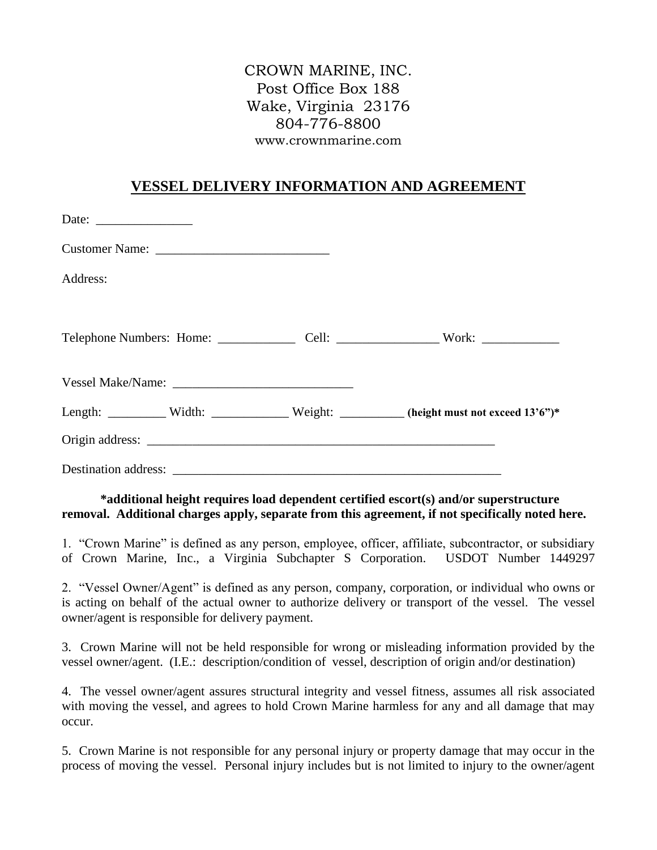## CROWN MARINE, INC. Post Office Box 188 Wake, Virginia 23176 804-776-8800 www.crownmarine.com

## **VESSEL DELIVERY INFORMATION AND AGREEMENT**

| Date: $\frac{1}{\sqrt{1-\frac{1}{2}} \cdot \frac{1}{2}}$ |                                                                                       |
|----------------------------------------------------------|---------------------------------------------------------------------------------------|
|                                                          |                                                                                       |
| Address:                                                 |                                                                                       |
|                                                          |                                                                                       |
|                                                          |                                                                                       |
|                                                          |                                                                                       |
|                                                          | Length: _________ Width: ___________ Weight: ________ (height must not exceed 13'6")* |
|                                                          |                                                                                       |
|                                                          |                                                                                       |

**\*additional height requires load dependent certified escort(s) and/or superstructure removal. Additional charges apply, separate from this agreement, if not specifically noted here.**

1. "Crown Marine" is defined as any person, employee, officer, affiliate, subcontractor, or subsidiary of Crown Marine, Inc., a Virginia Subchapter S Corporation. USDOT Number 1449297

2. "Vessel Owner/Agent" is defined as any person, company, corporation, or individual who owns or is acting on behalf of the actual owner to authorize delivery or transport of the vessel. The vessel owner/agent is responsible for delivery payment.

3. Crown Marine will not be held responsible for wrong or misleading information provided by the vessel owner/agent. (I.E.: description/condition of vessel, description of origin and/or destination)

4. The vessel owner/agent assures structural integrity and vessel fitness, assumes all risk associated with moving the vessel, and agrees to hold Crown Marine harmless for any and all damage that may occur.

5. Crown Marine is not responsible for any personal injury or property damage that may occur in the process of moving the vessel. Personal injury includes but is not limited to injury to the owner/agent